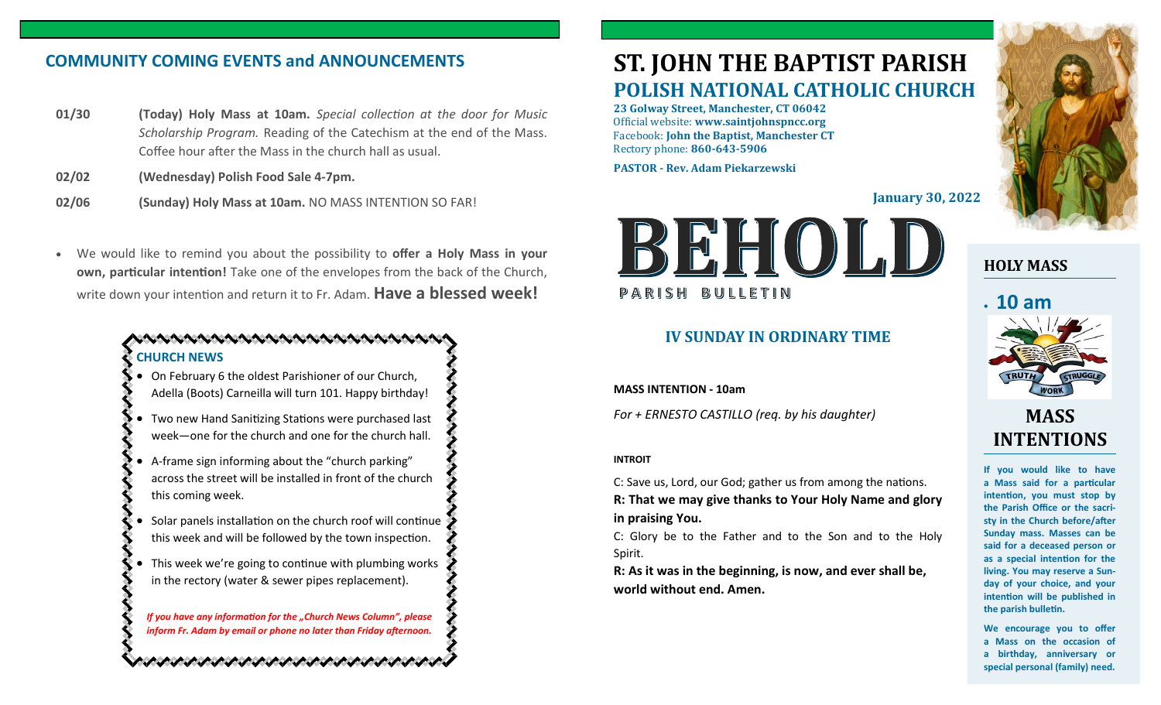## **COMMUNITY COMING EVENTS and ANNOUNCEMENTS**

- **01/30 (Today) Holy Mass at 10am.** *Special collection at the door for Music Scholarship Program.* Reading of the Catechism at the end of the Mass. Coffee hour after the Mass in the church hall as usual.
- **02/02 (Wednesday) Polish Food Sale 4-7pm.**
- **02/06 (Sunday) Holy Mass at 10am.** NO MASS INTENTION SO FAR!
- We would like to remind you about the possibility to **offer a Holy Mass in your own, particular intention!** Take one of the envelopes from the back of the Church, write down your intention and return it to Fr. Adam. **Have a blessed week!**

## . KANAN KANAN KANAN KANAN KANAN KA **CHURCH NEWS**

- On February 6 the oldest Parishioner of our Church, Adella (Boots) Carneilla will turn 101. Happy birthday!
- Two new Hand Sanitizing Stations were purchased last week—one for the church and one for the church hall.
- A-frame sign informing about the "church parking" across the street will be installed in front of the church this coming week.
- Solar panels installation on the church roof will continue this week and will be followed by the town inspection.
- This week we're going to continue with plumbing works in the rectory (water & sewer pipes replacement).

*If you have any information for the "Church News Column", please inform Fr. Adam by email or phone no later than Friday afternoon.*

n versen versen versen versen versen versen vers

# **ST. JOHN THE BAPTIST PARISH POLISH NATIONAL CATHOLIC CHURCH**

**23 Golway Street, Manchester, CT 06042** Official website: **www.saintjohnspncc.org** Facebook: **John the Baptist, Manchester CT** Rectory phone: **860-643-5906** 

**PASTOR - Rev. Adam Piekarzewski**

**January 30, 2022**



## **IV SUNDAY IN ORDINARY TIME**

**MASS INTENTION - 10am**

*For + ERNESTO CASTILLO (req. by his daughter)*

### **INTROIT**

C: Save us, Lord, our God; gather us from among the nations. **R: That we may give thanks to Your Holy Name and glory in praising You.**

C: Glory be to the Father and to the Son and to the Holy Spirit.

**R: As it was in the beginning, is now, and ever shall be, world without end. Amen.**



## **HOLY MASS**

# • **10 am**



## **MASS INTENTIONS**

**If you would like to have a Mass said for a particular intention, you must stop by the Parish Office or the sacristy in the Church before/after Sunday mass. Masses can be said for a deceased person or as a special intention for the living. You may reserve a Sunday of your choice, and your intention will be published in the parish bulletin.**

**We encourage you to offer a Mass on the occasion of a birthday, anniversary or special personal (family) need.**